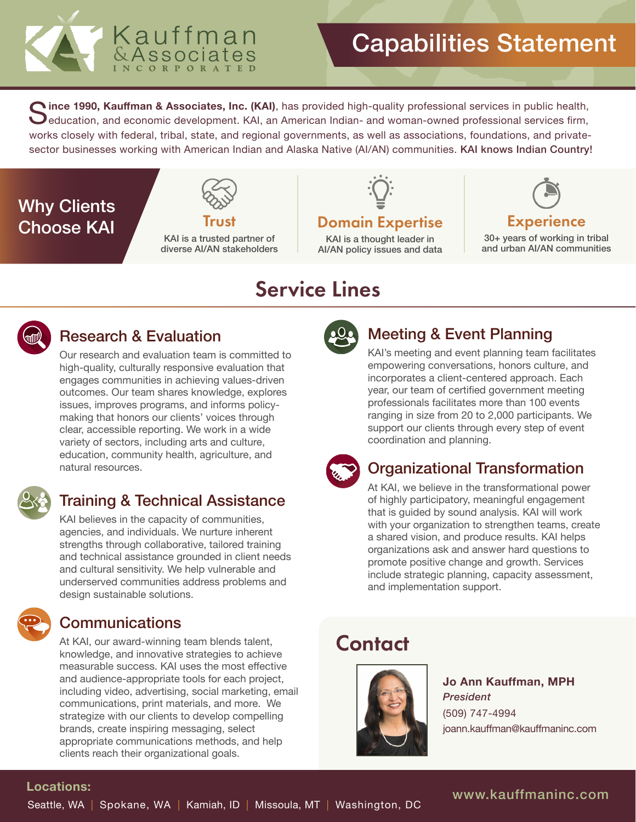

Gince 1990, Kauffman & Associates, Inc. (KAI), has provided high-quality professional services in public health,<br>Seducation, and economic development. KAI, an American Indian- and woman-owned professional services firm, works closely with federal, tribal, state, and regional governments, as well as associations, foundations, and privatesector businesses working with American Indian and Alaska Native (AI/AN) communities. KAI knows Indian Country!

# Why Clients **Choose KAI**



KAI is a trusted partner of diverse AI/AN stakeholders

# Domain Expertise

KAI is a thought leader in AI/AN policy issues and data



30+ years of working in tribal and urban AI/AN communities

# Service Lines



## Research & Evaluation

Our research and evaluation team is committed to high-quality, culturally responsive evaluation that engages communities in achieving values-driven outcomes. Our team shares knowledge, explores issues, improves programs, and informs policymaking that honors our clients' voices through clear, accessible reporting. We work in a wide variety of sectors, including arts and culture, education, community health, agriculture, and natural resources.



# Training & Technical Assistance

KAI believes in the capacity of communities, agencies, and individuals. We nurture inherent strengths through collaborative, tailored training and technical assistance grounded in client needs and cultural sensitivity. We help vulnerable and underserved communities address problems and design sustainable solutions.

## **Communications**

At KAI, our award-winning team blends talent, knowledge, and innovative strategies to achieve measurable success. KAI uses the most effective and audience-appropriate tools for each project, including video, advertising, social marketing, email communications, print materials, and more. We strategize with our clients to develop compelling brands, create inspiring messaging, select appropriate communications methods, and help clients reach their organizational goals.



# Meeting & Event Planning

KAI's meeting and event planning team facilitates empowering conversations, honors culture, and incorporates a client-centered approach. Each year, our team of certified government meeting professionals facilitates more than 100 events ranging in size from 20 to 2,000 participants. We support our clients through every step of event coordination and planning.



# Organizational Transformation

At KAI, we believe in the transformational power of highly participatory, meaningful engagement that is guided by sound analysis. KAI will work with your organization to strengthen teams, create a shared vision, and produce results. KAI helps organizations ask and answer hard questions to promote positive change and growth. Services include strategic planning, capacity assessment, and implementation support.

# **Contact**



**Jo Ann Kauffman, MPH**  *President*  (509) 747-4994 joann.kauffman@kauffmaninc.com

## **Locations:**

www.kauffmaninc.com